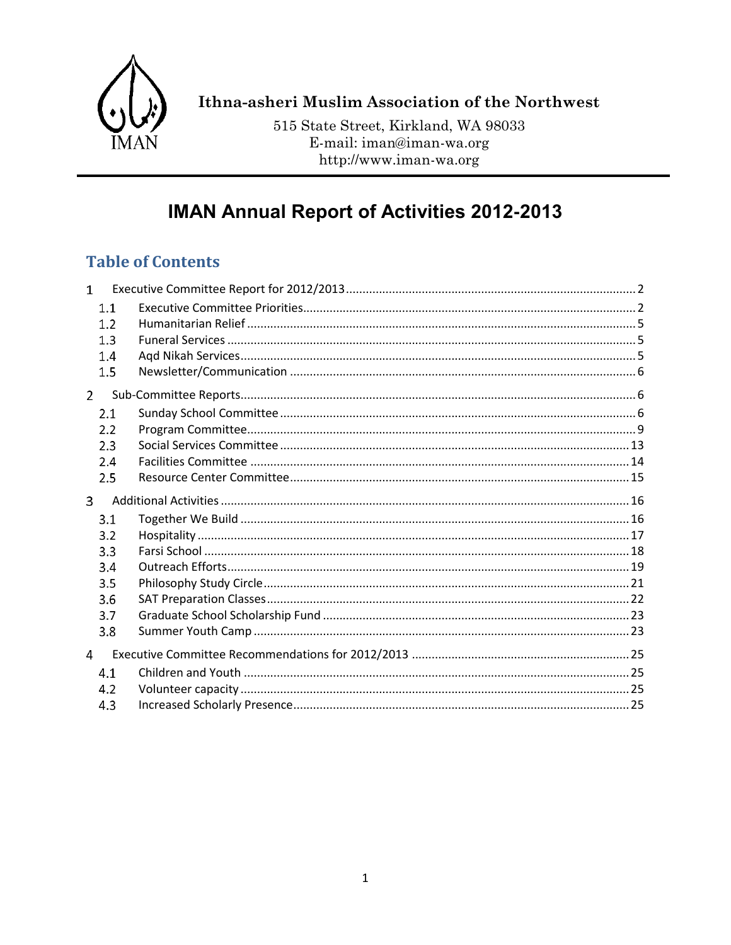

# Ithna-asheri Muslim Association of the Northwest

515 State Street, Kirkland, WA 98033 E-mail: iman@iman-wa.org http://www.iman-wa.org

# **IMAN Annual Report of Activities 2012-2013**

# **Table of Contents**

<span id="page-0-0"></span>

| $\mathbf{1}$   |     |  |
|----------------|-----|--|
|                | 1.1 |  |
|                | 1.2 |  |
|                | 1.3 |  |
|                | 1.4 |  |
|                | 1.5 |  |
| $\overline{2}$ |     |  |
|                | 2.1 |  |
|                | 2.2 |  |
|                | 2.3 |  |
|                | 2.4 |  |
|                | 2.5 |  |
| 3              |     |  |
|                | 3.1 |  |
|                | 3.2 |  |
|                | 3.3 |  |
|                | 3.4 |  |
|                | 3.5 |  |
|                | 3.6 |  |
|                | 3.7 |  |
|                | 3.8 |  |
| $\overline{4}$ |     |  |
|                | 4.1 |  |
|                | 4.2 |  |
|                | 4.3 |  |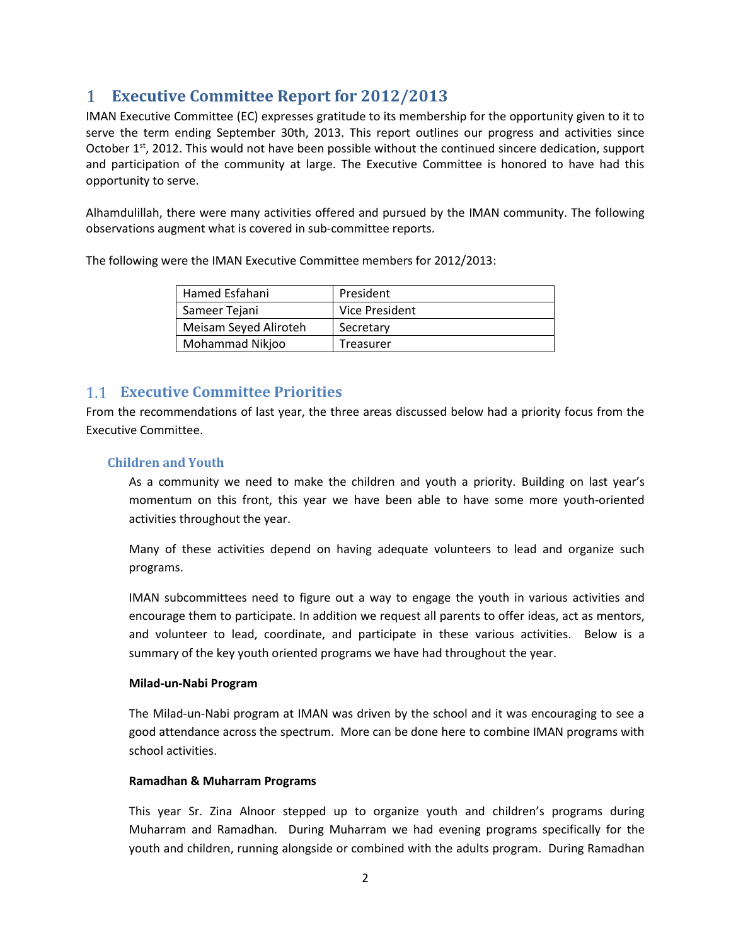# **Executive Committee Report for 2012/2013**

IMAN Executive Committee (EC) expresses gratitude to its membership for the opportunity given to it to serve the term ending September 30th, 2013. This report outlines our progress and activities since October 1<sup>st</sup>, 2012. This would not have been possible without the continued sincere dedication, support and participation of the community at large. The Executive Committee is honored to have had this opportunity to serve.

Alhamdulillah, there were many activities offered and pursued by the IMAN community. The following observations augment what is covered in sub-committee reports.

The following were the IMAN Executive Committee members for 2012/2013:

| Hamed Esfahani        | President      |
|-----------------------|----------------|
| Sameer Tejani         | Vice President |
| Meisam Seyed Aliroteh | Secretary      |
| Mohammad Nikjoo       | Treasurer      |

### <span id="page-1-0"></span>**Executive Committee Priorities**

From the recommendations of last year, the three areas discussed below had a priority focus from the Executive Committee.

### **Children and Youth**

As a community we need to make the children and youth a priority. Building on last year's momentum on this front, this year we have been able to have some more youth-oriented activities throughout the year.

Many of these activities depend on having adequate volunteers to lead and organize such programs.

IMAN subcommittees need to figure out a way to engage the youth in various activities and encourage them to participate. In addition we request all parents to offer ideas, act as mentors, and volunteer to lead, coordinate, and participate in these various activities. Below is a summary of the key youth oriented programs we have had throughout the year.

### **Milad-un-Nabi Program**

The Milad-un-Nabi program at IMAN was driven by the school and it was encouraging to see a good attendance across the spectrum. More can be done here to combine IMAN programs with school activities.

### **Ramadhan & Muharram Programs**

This year Sr. Zina Alnoor stepped up to organize youth and children's programs during Muharram and Ramadhan. During Muharram we had evening programs specifically for the youth and children, running alongside or combined with the adults program. During Ramadhan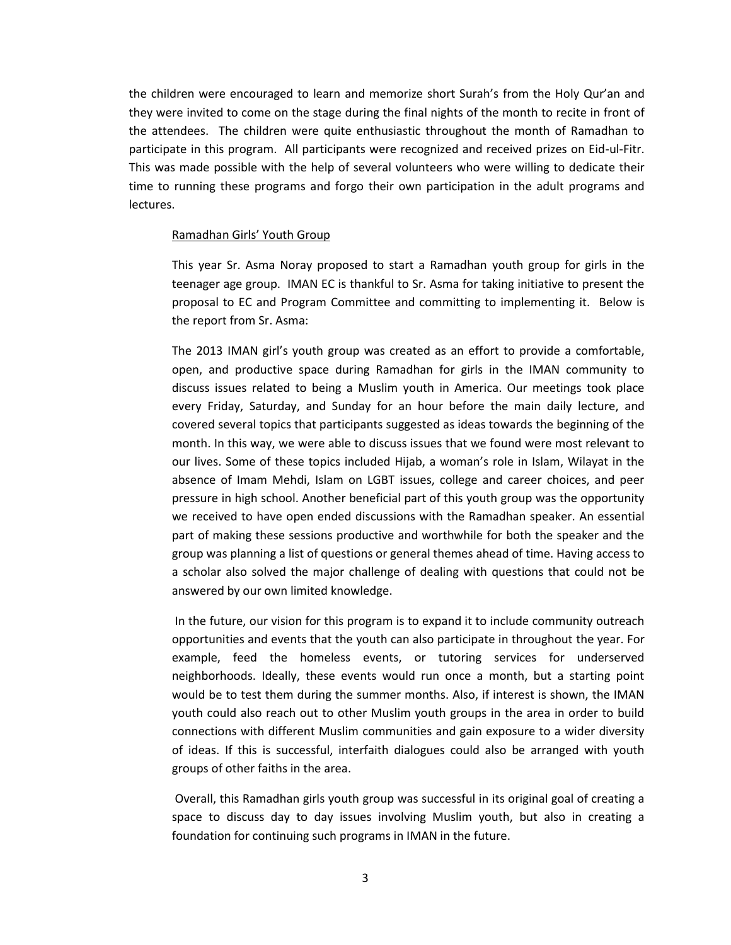the children were encouraged to learn and memorize short Surah's from the Holy Qur'an and they were invited to come on the stage during the final nights of the month to recite in front of the attendees. The children were quite enthusiastic throughout the month of Ramadhan to participate in this program. All participants were recognized and received prizes on Eid-ul-Fitr. This was made possible with the help of several volunteers who were willing to dedicate their time to running these programs and forgo their own participation in the adult programs and lectures.

#### Ramadhan Girls' Youth Group

This year Sr. Asma Noray proposed to start a Ramadhan youth group for girls in the teenager age group. IMAN EC is thankful to Sr. Asma for taking initiative to present the proposal to EC and Program Committee and committing to implementing it. Below is the report from Sr. Asma:

The 2013 IMAN girl's youth group was created as an effort to provide a comfortable, open, and productive space during Ramadhan for girls in the IMAN community to discuss issues related to being a Muslim youth in America. Our meetings took place every Friday, Saturday, and Sunday for an hour before the main daily lecture, and covered several topics that participants suggested as ideas towards the beginning of the month. In this way, we were able to discuss issues that we found were most relevant to our lives. Some of these topics included Hijab, a woman's role in Islam, Wilayat in the absence of Imam Mehdi, Islam on LGBT issues, college and career choices, and peer pressure in high school. Another beneficial part of this youth group was the opportunity we received to have open ended discussions with the Ramadhan speaker. An essential part of making these sessions productive and worthwhile for both the speaker and the group was planning a list of questions or general themes ahead of time. Having access to a scholar also solved the major challenge of dealing with questions that could not be answered by our own limited knowledge.

In the future, our vision for this program is to expand it to include community outreach opportunities and events that the youth can also participate in throughout the year. For example, feed the homeless events, or tutoring services for underserved neighborhoods. Ideally, these events would run once a month, but a starting point would be to test them during the summer months. Also, if interest is shown, the IMAN youth could also reach out to other Muslim youth groups in the area in order to build connections with different Muslim communities and gain exposure to a wider diversity of ideas. If this is successful, interfaith dialogues could also be arranged with youth groups of other faiths in the area.

Overall, this Ramadhan girls youth group was successful in its original goal of creating a space to discuss day to day issues involving Muslim youth, but also in creating a foundation for continuing such programs in IMAN in the future.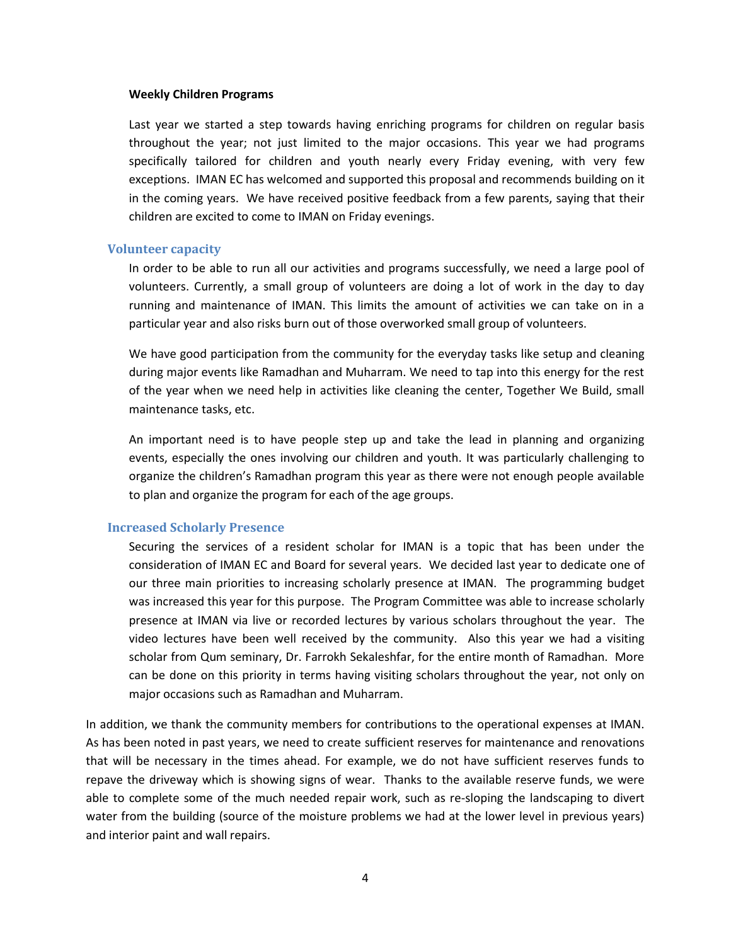#### **Weekly Children Programs**

Last year we started a step towards having enriching programs for children on regular basis throughout the year; not just limited to the major occasions. This year we had programs specifically tailored for children and youth nearly every Friday evening, with very few exceptions. IMAN EC has welcomed and supported this proposal and recommends building on it in the coming years. We have received positive feedback from a few parents, saying that their children are excited to come to IMAN on Friday evenings.

#### **Volunteer capacity**

In order to be able to run all our activities and programs successfully, we need a large pool of volunteers. Currently, a small group of volunteers are doing a lot of work in the day to day running and maintenance of IMAN. This limits the amount of activities we can take on in a particular year and also risks burn out of those overworked small group of volunteers.

We have good participation from the community for the everyday tasks like setup and cleaning during major events like Ramadhan and Muharram. We need to tap into this energy for the rest of the year when we need help in activities like cleaning the center, Together We Build, small maintenance tasks, etc.

An important need is to have people step up and take the lead in planning and organizing events, especially the ones involving our children and youth. It was particularly challenging to organize the children's Ramadhan program this year as there were not enough people available to plan and organize the program for each of the age groups.

#### **Increased Scholarly Presence**

Securing the services of a resident scholar for IMAN is a topic that has been under the consideration of IMAN EC and Board for several years. We decided last year to dedicate one of our three main priorities to increasing scholarly presence at IMAN. The programming budget was increased this year for this purpose. The Program Committee was able to increase scholarly presence at IMAN via live or recorded lectures by various scholars throughout the year. The video lectures have been well received by the community. Also this year we had a visiting scholar from Qum seminary, Dr. Farrokh Sekaleshfar, for the entire month of Ramadhan. More can be done on this priority in terms having visiting scholars throughout the year, not only on major occasions such as Ramadhan and Muharram.

In addition, we thank the community members for contributions to the operational expenses at IMAN. As has been noted in past years, we need to create sufficient reserves for maintenance and renovations that will be necessary in the times ahead. For example, we do not have sufficient reserves funds to repave the driveway which is showing signs of wear. Thanks to the available reserve funds, we were able to complete some of the much needed repair work, such as re-sloping the landscaping to divert water from the building (source of the moisture problems we had at the lower level in previous years) and interior paint and wall repairs.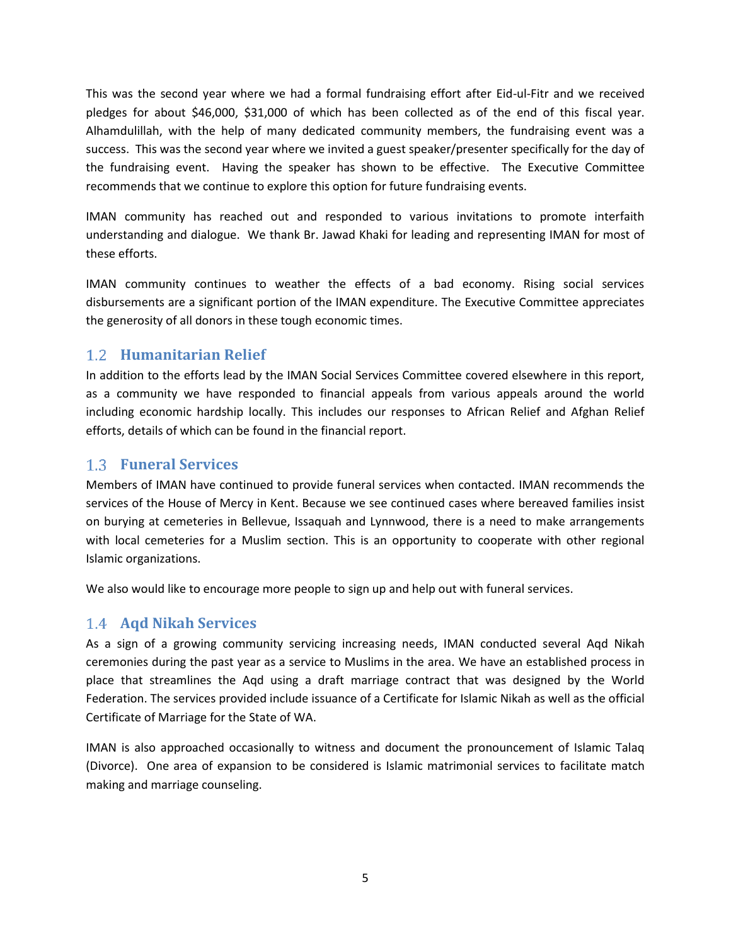This was the second year where we had a formal fundraising effort after Eid-ul-Fitr and we received pledges for about \$46,000, \$31,000 of which has been collected as of the end of this fiscal year. Alhamdulillah, with the help of many dedicated community members, the fundraising event was a success. This was the second year where we invited a guest speaker/presenter specifically for the day of the fundraising event. Having the speaker has shown to be effective. The Executive Committee recommends that we continue to explore this option for future fundraising events.

IMAN community has reached out and responded to various invitations to promote interfaith understanding and dialogue. We thank Br. Jawad Khaki for leading and representing IMAN for most of these efforts.

IMAN community continues to weather the effects of a bad economy. Rising social services disbursements are a significant portion of the IMAN expenditure. The Executive Committee appreciates the generosity of all donors in these tough economic times.

### <span id="page-4-0"></span>**Humanitarian Relief**

In addition to the efforts lead by the IMAN Social Services Committee covered elsewhere in this report, as a community we have responded to financial appeals from various appeals around the world including economic hardship locally. This includes our responses to African Relief and Afghan Relief efforts, details of which can be found in the financial report.

### <span id="page-4-1"></span>**Funeral Services**

Members of IMAN have continued to provide funeral services when contacted. IMAN recommends the services of the House of Mercy in Kent. Because we see continued cases where bereaved families insist on burying at cemeteries in Bellevue, Issaquah and Lynnwood, there is a need to make arrangements with local cemeteries for a Muslim section. This is an opportunity to cooperate with other regional Islamic organizations.

We also would like to encourage more people to sign up and help out with funeral services.

### <span id="page-4-2"></span>**Aqd Nikah Services**

As a sign of a growing community servicing increasing needs, IMAN conducted several Aqd Nikah ceremonies during the past year as a service to Muslims in the area. We have an established process in place that streamlines the Aqd using a draft marriage contract that was designed by the World Federation. The services provided include issuance of a Certificate for Islamic Nikah as well as the official Certificate of Marriage for the State of WA.

IMAN is also approached occasionally to witness and document the pronouncement of Islamic Talaq (Divorce). One area of expansion to be considered is Islamic matrimonial services to facilitate match making and marriage counseling.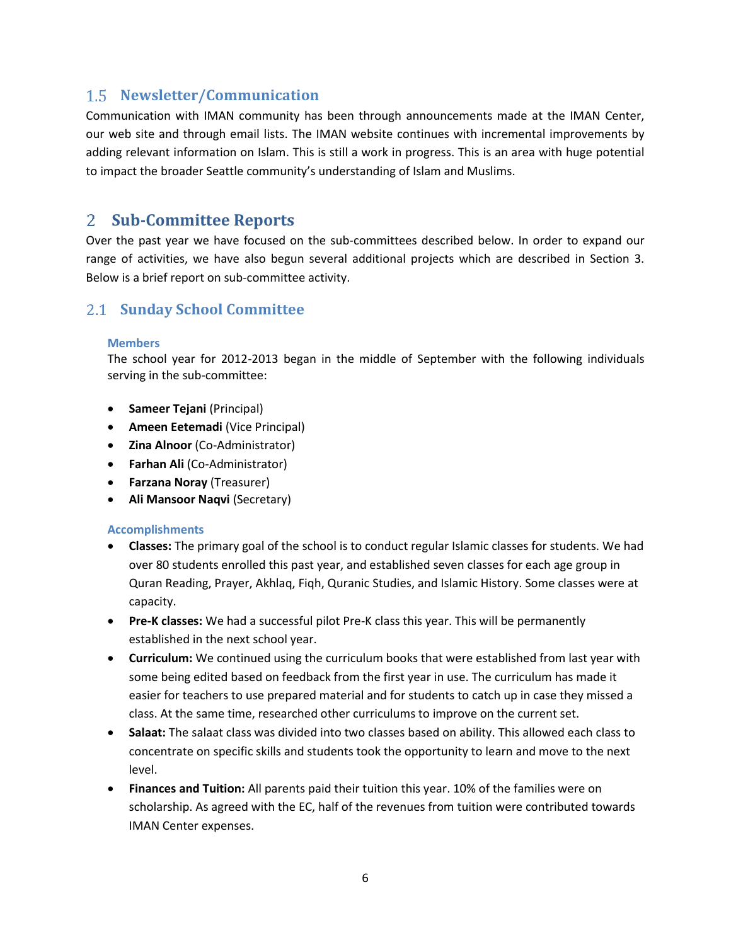### <span id="page-5-0"></span>**Newsletter/Communication**

Communication with IMAN community has been through announcements made at the IMAN Center, our web site and through email lists. The IMAN website continues with incremental improvements by adding relevant information on Islam. This is still a work in progress. This is an area with huge potential to impact the broader Seattle community's understanding of Islam and Muslims.

### <span id="page-5-1"></span>**Sub-Committee Reports**

Over the past year we have focused on the sub-committees described below. In order to expand our range of activities, we have also begun several additional projects which are described in Section 3. Below is a brief report on sub-committee activity.

### <span id="page-5-2"></span>**Sunday School Committee**

### **Members**

The school year for 2012-2013 began in the middle of September with the following individuals serving in the sub-committee:

- **•** Sameer Tejani (Principal)
- **Ameen Eetemadi (Vice Principal)**
- **Zina Alnoor** (Co-Administrator)
- **Farhan Ali** (Co-Administrator)
- **Farzana Noray** (Treasurer)
- **Ali Mansoor Naqvi (Secretary)**

- **Classes:** The primary goal of the school is to conduct regular Islamic classes for students. We had over 80 students enrolled this past year, and established seven classes for each age group in Quran Reading, Prayer, Akhlaq, Fiqh, Quranic Studies, and Islamic History. Some classes were at capacity.
- **Pre-K classes:** We had a successful pilot Pre-K class this year. This will be permanently established in the next school year.
- **Curriculum:** We continued using the curriculum books that were established from last year with some being edited based on feedback from the first year in use. The curriculum has made it easier for teachers to use prepared material and for students to catch up in case they missed a class. At the same time, researched other curriculums to improve on the current set.
- **Salaat:** The salaat class was divided into two classes based on ability. This allowed each class to concentrate on specific skills and students took the opportunity to learn and move to the next level.
- **Finances and Tuition:** All parents paid their tuition this year. 10% of the families were on scholarship. As agreed with the EC, half of the revenues from tuition were contributed towards IMAN Center expenses.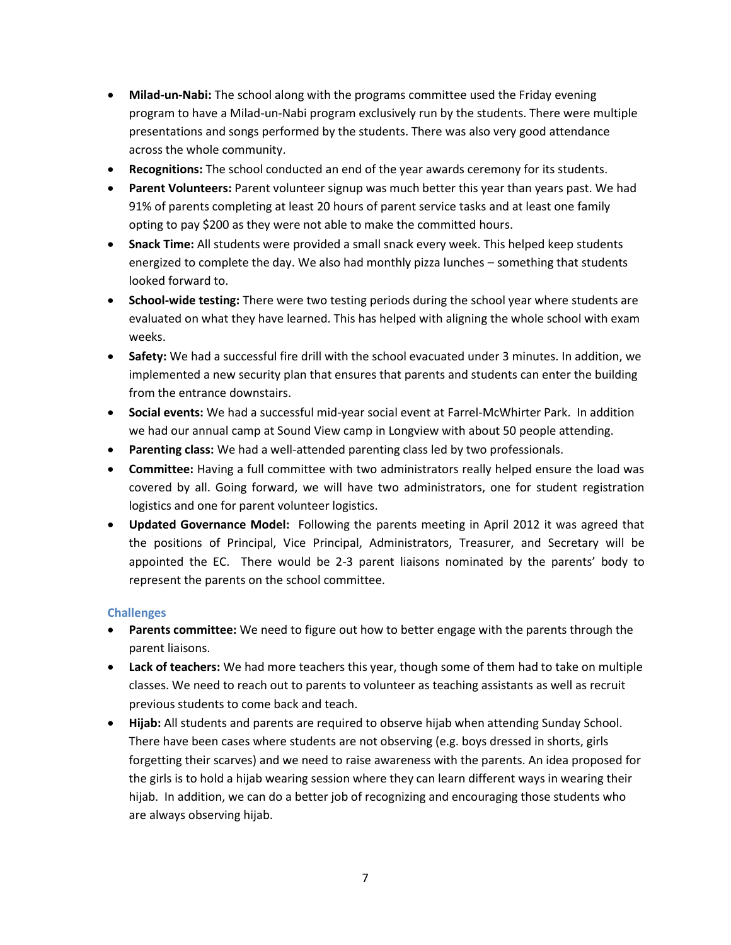- **Milad-un-Nabi:** The school along with the programs committee used the Friday evening program to have a Milad-un-Nabi program exclusively run by the students. There were multiple presentations and songs performed by the students. There was also very good attendance across the whole community.
- **Recognitions:** The school conducted an end of the year awards ceremony for its students.
- **Parent Volunteers:** Parent volunteer signup was much better this year than years past. We had 91% of parents completing at least 20 hours of parent service tasks and at least one family opting to pay \$200 as they were not able to make the committed hours.
- **Snack Time:** All students were provided a small snack every week. This helped keep students energized to complete the day. We also had monthly pizza lunches – something that students looked forward to.
- **School-wide testing:** There were two testing periods during the school year where students are evaluated on what they have learned. This has helped with aligning the whole school with exam weeks.
- **Safety:** We had a successful fire drill with the school evacuated under 3 minutes. In addition, we implemented a new security plan that ensures that parents and students can enter the building from the entrance downstairs.
- **Social events:** We had a successful mid-year social event at Farrel-McWhirter Park. In addition we had our annual camp at Sound View camp in Longview with about 50 people attending.
- **Parenting class:** We had a well-attended parenting class led by two professionals.
- **Committee:** Having a full committee with two administrators really helped ensure the load was covered by all. Going forward, we will have two administrators, one for student registration logistics and one for parent volunteer logistics.
- **Updated Governance Model:** Following the parents meeting in April 2012 it was agreed that the positions of Principal, Vice Principal, Administrators, Treasurer, and Secretary will be appointed the EC. There would be 2-3 parent liaisons nominated by the parents' body to represent the parents on the school committee.

- **Parents committee:** We need to figure out how to better engage with the parents through the parent liaisons.
- **Lack of teachers:** We had more teachers this year, though some of them had to take on multiple classes. We need to reach out to parents to volunteer as teaching assistants as well as recruit previous students to come back and teach.
- **Hijab:** All students and parents are required to observe hijab when attending Sunday School. There have been cases where students are not observing (e.g. boys dressed in shorts, girls forgetting their scarves) and we need to raise awareness with the parents. An idea proposed for the girls is to hold a hijab wearing session where they can learn different ways in wearing their hijab. In addition, we can do a better job of recognizing and encouraging those students who are always observing hijab.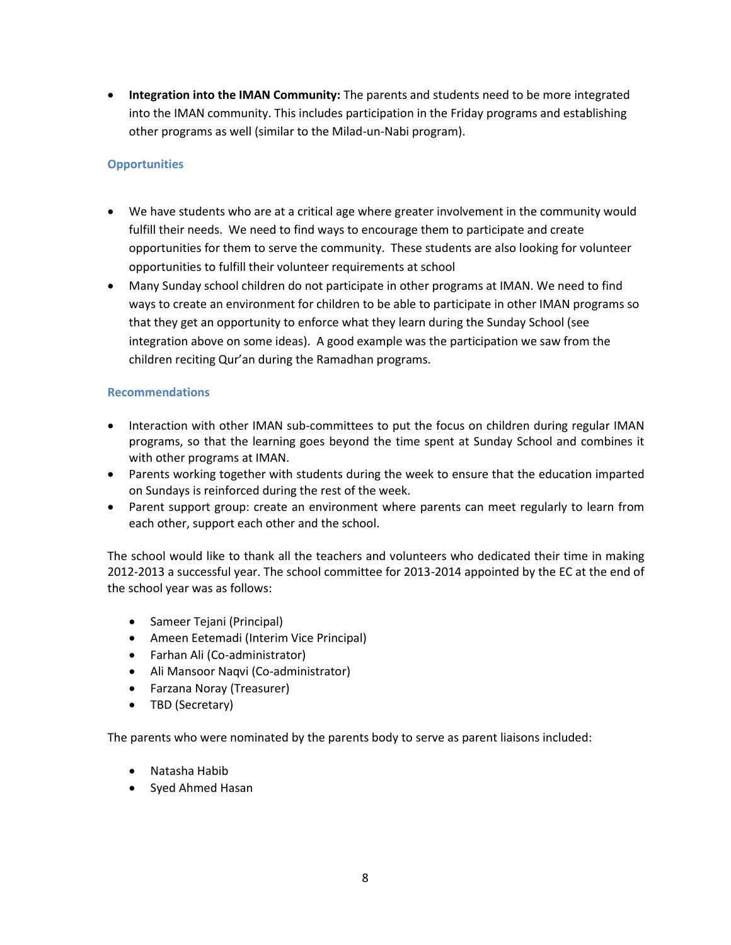**Integration into the IMAN Community:** The parents and students need to be more integrated into the IMAN community. This includes participation in the Friday programs and establishing other programs as well (similar to the Milad-un-Nabi program).

### **Opportunities**

- We have students who are at a critical age where greater involvement in the community would fulfill their needs. We need to find ways to encourage them to participate and create opportunities for them to serve the community. These students are also looking for volunteer opportunities to fulfill their volunteer requirements at school
- Many Sunday school children do not participate in other programs at IMAN. We need to find ways to create an environment for children to be able to participate in other IMAN programs so that they get an opportunity to enforce what they learn during the Sunday School (see integration above on some ideas). A good example was the participation we saw from the children reciting Qur'an during the Ramadhan programs.

### **Recommendations**

- Interaction with other IMAN sub-committees to put the focus on children during regular IMAN programs, so that the learning goes beyond the time spent at Sunday School and combines it with other programs at IMAN.
- Parents working together with students during the week to ensure that the education imparted on Sundays is reinforced during the rest of the week.
- Parent support group: create an environment where parents can meet regularly to learn from each other, support each other and the school.

The school would like to thank all the teachers and volunteers who dedicated their time in making 2012-2013 a successful year. The school committee for 2013-2014 appointed by the EC at the end of the school year was as follows:

- Sameer Tejani (Principal)
- Ameen Eetemadi (Interim Vice Principal)
- Farhan Ali (Co-administrator)
- Ali Mansoor Naqvi (Co-administrator)
- Farzana Noray (Treasurer)
- TBD (Secretary)

The parents who were nominated by the parents body to serve as parent liaisons included:

- Natasha Habib
- Syed Ahmed Hasan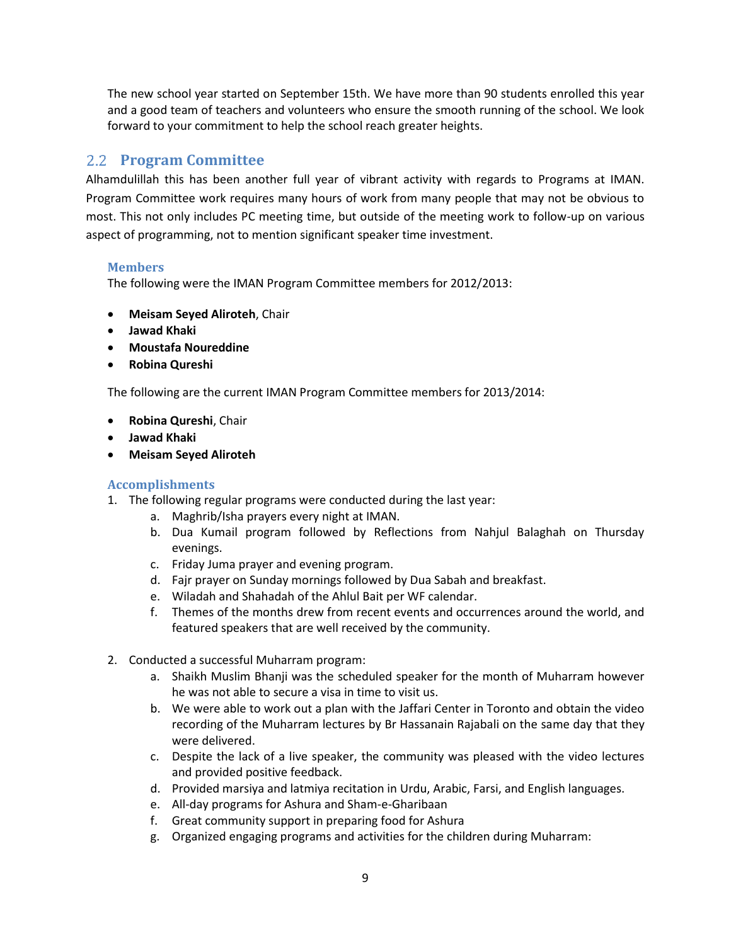The new school year started on September 15th. We have more than 90 students enrolled this year and a good team of teachers and volunteers who ensure the smooth running of the school. We look forward to your commitment to help the school reach greater heights.

### <span id="page-8-0"></span>**Program Committee**

Alhamdulillah this has been another full year of vibrant activity with regards to Programs at IMAN. Program Committee work requires many hours of work from many people that may not be obvious to most. This not only includes PC meeting time, but outside of the meeting work to follow-up on various aspect of programming, not to mention significant speaker time investment.

### **Members**

The following were the IMAN Program Committee members for 2012/2013:

- **Meisam Seyed Aliroteh**, Chair
- **Jawad Khaki**
- **Moustafa Noureddine**
- **Robina Qureshi**

The following are the current IMAN Program Committee members for 2013/2014:

- **Robina Qureshi**, Chair
- **Jawad Khaki**
- **Meisam Seyed Aliroteh**

- 1. The following regular programs were conducted during the last year:
	- a. Maghrib/Isha prayers every night at IMAN.
	- b. Dua Kumail program followed by Reflections from Nahjul Balaghah on Thursday evenings.
	- c. Friday Juma prayer and evening program.
	- d. Fajr prayer on Sunday mornings followed by Dua Sabah and breakfast.
	- e. Wiladah and Shahadah of the Ahlul Bait per WF calendar.
	- f. Themes of the months drew from recent events and occurrences around the world, and featured speakers that are well received by the community.
- 2. Conducted a successful Muharram program:
	- a. Shaikh Muslim Bhanji was the scheduled speaker for the month of Muharram however he was not able to secure a visa in time to visit us.
	- b. We were able to work out a plan with the Jaffari Center in Toronto and obtain the video recording of the Muharram lectures by Br Hassanain Rajabali on the same day that they were delivered.
	- c. Despite the lack of a live speaker, the community was pleased with the video lectures and provided positive feedback.
	- d. Provided marsiya and latmiya recitation in Urdu, Arabic, Farsi, and English languages.
	- e. All-day programs for Ashura and Sham-e-Gharibaan
	- f. Great community support in preparing food for Ashura
	- g. Organized engaging programs and activities for the children during Muharram: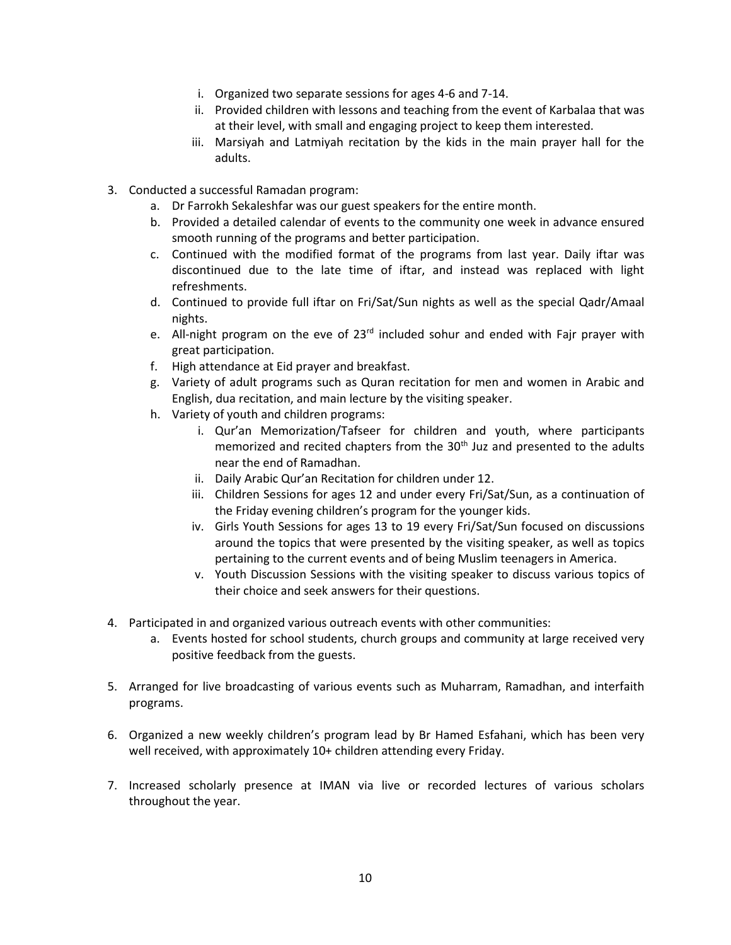- i. Organized two separate sessions for ages 4-6 and 7-14.
- ii. Provided children with lessons and teaching from the event of Karbalaa that was at their level, with small and engaging project to keep them interested.
- iii. Marsiyah and Latmiyah recitation by the kids in the main prayer hall for the adults.
- 3. Conducted a successful Ramadan program:
	- a. Dr Farrokh Sekaleshfar was our guest speakers for the entire month.
	- b. Provided a detailed calendar of events to the community one week in advance ensured smooth running of the programs and better participation.
	- c. Continued with the modified format of the programs from last year. Daily iftar was discontinued due to the late time of iftar, and instead was replaced with light refreshments.
	- d. Continued to provide full iftar on Fri/Sat/Sun nights as well as the special Qadr/Amaal nights.
	- e. All-night program on the eve of  $23<sup>rd</sup>$  included sohur and ended with Fajr prayer with great participation.
	- f. High attendance at Eid prayer and breakfast.
	- g. Variety of adult programs such as Quran recitation for men and women in Arabic and English, dua recitation, and main lecture by the visiting speaker.
	- h. Variety of youth and children programs:
		- i. Qur'an Memorization/Tafseer for children and youth, where participants memorized and recited chapters from the 30<sup>th</sup> Juz and presented to the adults near the end of Ramadhan.
		- ii. Daily Arabic Qur'an Recitation for children under 12.
		- iii. Children Sessions for ages 12 and under every Fri/Sat/Sun, as a continuation of the Friday evening children's program for the younger kids.
		- iv. Girls Youth Sessions for ages 13 to 19 every Fri/Sat/Sun focused on discussions around the topics that were presented by the visiting speaker, as well as topics pertaining to the current events and of being Muslim teenagers in America.
		- v. Youth Discussion Sessions with the visiting speaker to discuss various topics of their choice and seek answers for their questions.
- 4. Participated in and organized various outreach events with other communities:
	- a. Events hosted for school students, church groups and community at large received very positive feedback from the guests.
- 5. Arranged for live broadcasting of various events such as Muharram, Ramadhan, and interfaith programs.
- 6. Organized a new weekly children's program lead by Br Hamed Esfahani, which has been very well received, with approximately 10+ children attending every Friday.
- 7. Increased scholarly presence at IMAN via live or recorded lectures of various scholars throughout the year.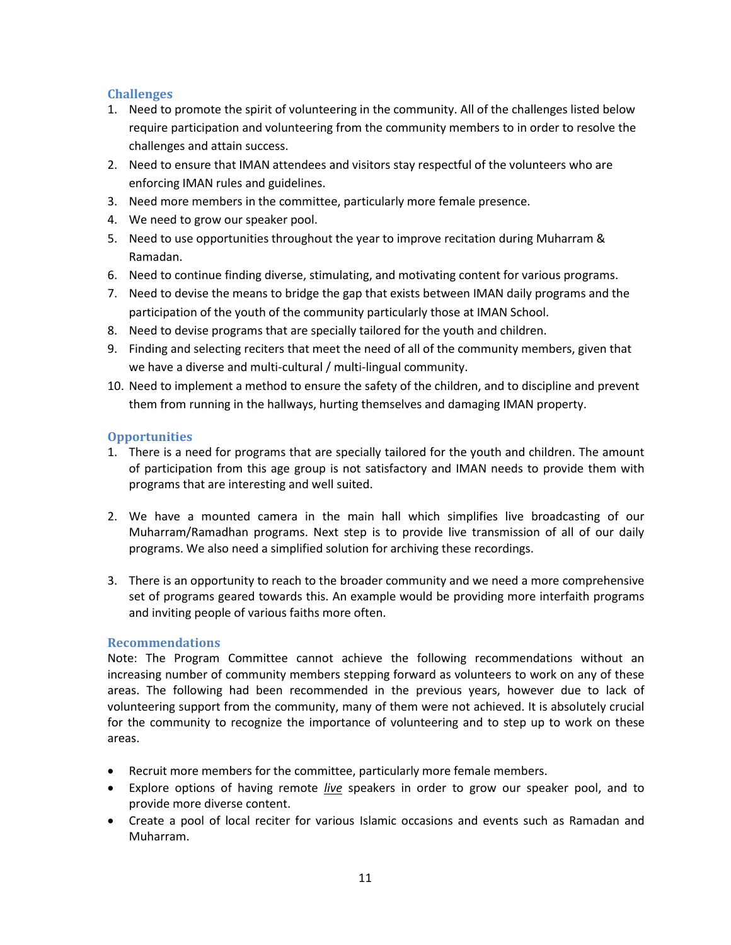- 1. Need to promote the spirit of volunteering in the community. All of the challenges listed below require participation and volunteering from the community members to in order to resolve the challenges and attain success.
- 2. Need to ensure that IMAN attendees and visitors stay respectful of the volunteers who are enforcing IMAN rules and guidelines.
- 3. Need more members in the committee, particularly more female presence.
- 4. We need to grow our speaker pool.
- 5. Need to use opportunities throughout the year to improve recitation during Muharram & Ramadan.
- 6. Need to continue finding diverse, stimulating, and motivating content for various programs.
- 7. Need to devise the means to bridge the gap that exists between IMAN daily programs and the participation of the youth of the community particularly those at IMAN School.
- 8. Need to devise programs that are specially tailored for the youth and children.
- 9. Finding and selecting reciters that meet the need of all of the community members, given that we have a diverse and multi-cultural / multi-lingual community.
- 10. Need to implement a method to ensure the safety of the children, and to discipline and prevent them from running in the hallways, hurting themselves and damaging IMAN property.

### **Opportunities**

- 1. There is a need for programs that are specially tailored for the youth and children. The amount of participation from this age group is not satisfactory and IMAN needs to provide them with programs that are interesting and well suited.
- 2. We have a mounted camera in the main hall which simplifies live broadcasting of our Muharram/Ramadhan programs. Next step is to provide live transmission of all of our daily programs. We also need a simplified solution for archiving these recordings.
- 3. There is an opportunity to reach to the broader community and we need a more comprehensive set of programs geared towards this. An example would be providing more interfaith programs and inviting people of various faiths more often.

### **Recommendations**

Note: The Program Committee cannot achieve the following recommendations without an increasing number of community members stepping forward as volunteers to work on any of these areas. The following had been recommended in the previous years, however due to lack of volunteering support from the community, many of them were not achieved. It is absolutely crucial for the community to recognize the importance of volunteering and to step up to work on these areas.

- Recruit more members for the committee, particularly more female members.
- Explore options of having remote *live* speakers in order to grow our speaker pool, and to provide more diverse content.
- Create a pool of local reciter for various Islamic occasions and events such as Ramadan and Muharram.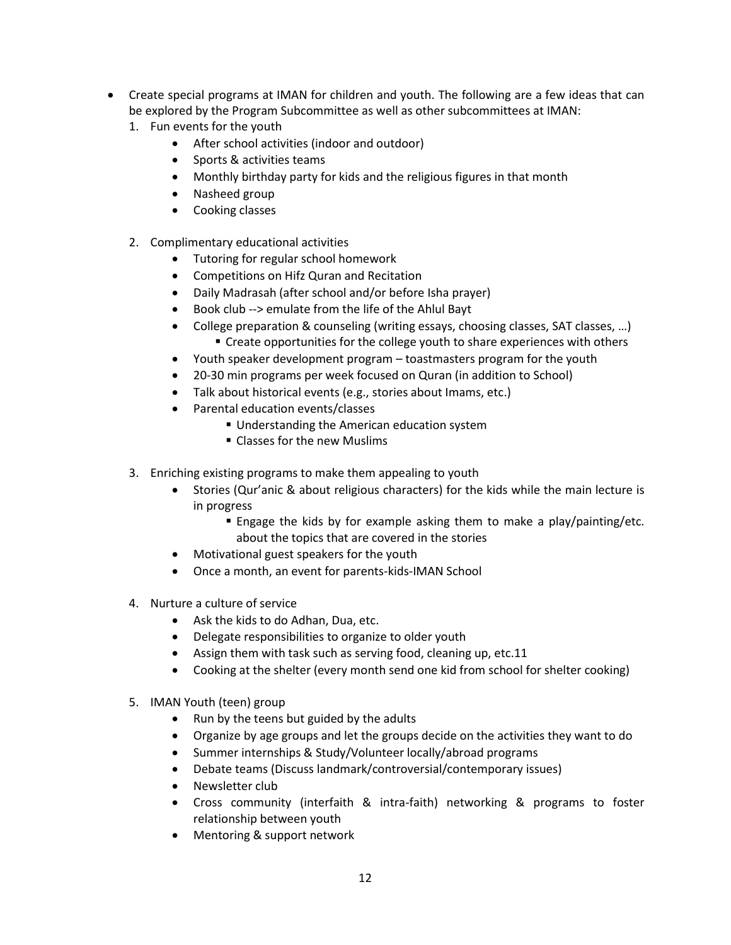- Create special programs at IMAN for children and youth. The following are a few ideas that can be explored by the Program Subcommittee as well as other subcommittees at IMAN:
	- 1. Fun events for the youth
		- After school activities (indoor and outdoor)
		- Sports & activities teams
		- Monthly birthday party for kids and the religious figures in that month
		- Nasheed group
		- Cooking classes
	- 2. Complimentary educational activities
		- Tutoring for regular school homework
		- Competitions on Hifz Quran and Recitation
		- Daily Madrasah (after school and/or before Isha prayer)
		- Book club --> emulate from the life of the Ahlul Bayt
		- College preparation & counseling (writing essays, choosing classes, SAT classes, …)
			- **EXTERCH CORROOT CONTEX COLLEGGATE:** Create opportunities for the college youth to share experiences with others
		- Youth speaker development program toastmasters program for the youth
		- 20-30 min programs per week focused on Quran (in addition to School)
		- Talk about historical events (e.g., stories about Imams, etc.)
		- Parental education events/classes
			- **Understanding the American education system**
			- Classes for the new Muslims
	- 3. Enriching existing programs to make them appealing to youth
		- Stories (Qur'anic & about religious characters) for the kids while the main lecture is in progress
			- Engage the kids by for example asking them to make a play/painting/etc. about the topics that are covered in the stories
		- Motivational guest speakers for the youth
		- Once a month, an event for parents-kids-IMAN School
	- 4. Nurture a culture of service
		- Ask the kids to do Adhan, Dua, etc.
		- Delegate responsibilities to organize to older youth
		- Assign them with task such as serving food, cleaning up, etc.11
		- Cooking at the shelter (every month send one kid from school for shelter cooking)
	- 5. IMAN Youth (teen) group
		- Run by the teens but guided by the adults
		- Organize by age groups and let the groups decide on the activities they want to do
		- Summer internships & Study/Volunteer locally/abroad programs
		- Debate teams (Discuss landmark/controversial/contemporary issues)
		- Newsletter club
		- Cross community (interfaith & intra-faith) networking & programs to foster relationship between youth
		- Mentoring & support network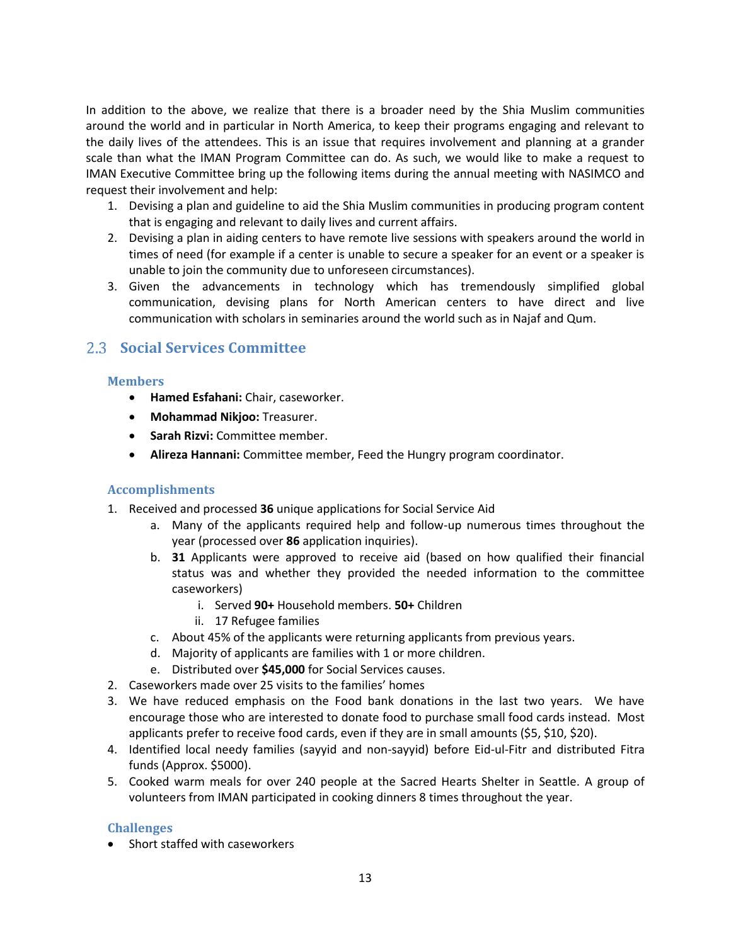In addition to the above, we realize that there is a broader need by the Shia Muslim communities around the world and in particular in North America, to keep their programs engaging and relevant to the daily lives of the attendees. This is an issue that requires involvement and planning at a grander scale than what the IMAN Program Committee can do. As such, we would like to make a request to IMAN Executive Committee bring up the following items during the annual meeting with NASIMCO and request their involvement and help:

- 1. Devising a plan and guideline to aid the Shia Muslim communities in producing program content that is engaging and relevant to daily lives and current affairs.
- 2. Devising a plan in aiding centers to have remote live sessions with speakers around the world in times of need (for example if a center is unable to secure a speaker for an event or a speaker is unable to join the community due to unforeseen circumstances).
- 3. Given the advancements in technology which has tremendously simplified global communication, devising plans for North American centers to have direct and live communication with scholars in seminaries around the world such as in Najaf and Qum.

### <span id="page-12-0"></span>**Social Services Committee**

### **Members**

- **Hamed Esfahani:** Chair, caseworker.
- **Mohammad Nikjoo:** Treasurer.
- **Sarah Rizvi:** Committee member.
- **Alireza Hannani:** Committee member, Feed the Hungry program coordinator.

### **Accomplishments**

- 1. Received and processed **36** unique applications for Social Service Aid
	- a. Many of the applicants required help and follow-up numerous times throughout the year (processed over **86** application inquiries).
	- b. **31** Applicants were approved to receive aid (based on how qualified their financial status was and whether they provided the needed information to the committee caseworkers)
		- i. Served **90+** Household members. **50+** Children
		- ii. 17 Refugee families
	- c. About 45% of the applicants were returning applicants from previous years.
	- d. Majority of applicants are families with 1 or more children.
	- e. Distributed over **\$45,000** for Social Services causes.
- 2. Caseworkers made over 25 visits to the families' homes
- 3. We have reduced emphasis on the Food bank donations in the last two years. We have encourage those who are interested to donate food to purchase small food cards instead. Most applicants prefer to receive food cards, even if they are in small amounts (\$5, \$10, \$20).
- 4. Identified local needy families (sayyid and non-sayyid) before Eid-ul-Fitr and distributed Fitra funds (Approx. \$5000).
- 5. Cooked warm meals for over 240 people at the Sacred Hearts Shelter in Seattle. A group of volunteers from IMAN participated in cooking dinners 8 times throughout the year.

### **Challenges**

• Short staffed with caseworkers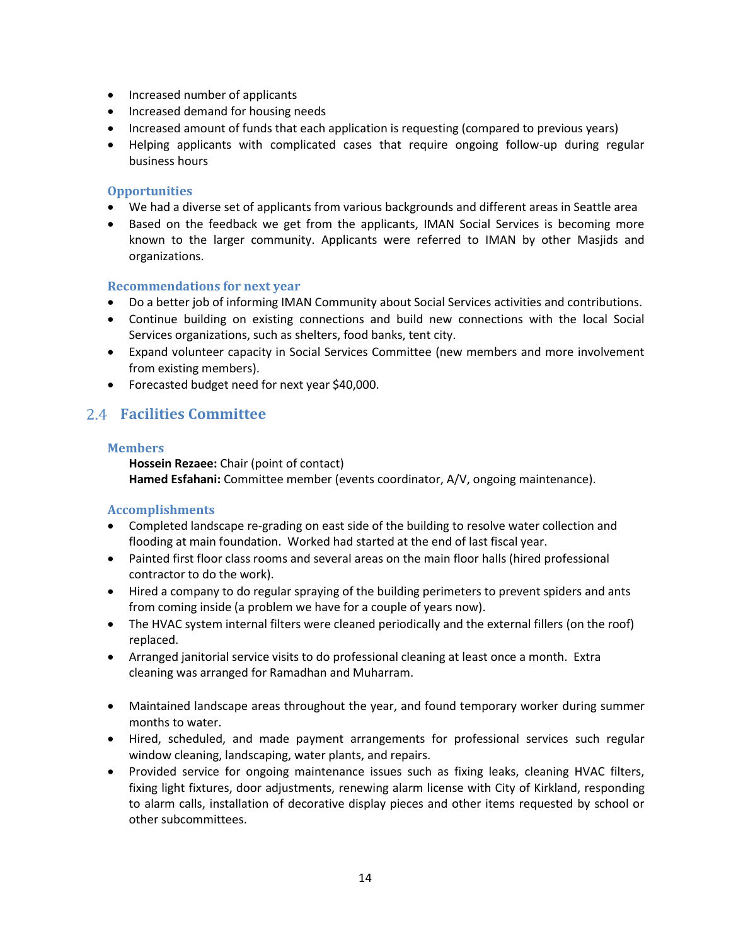- Increased number of applicants
- Increased demand for housing needs
- Increased amount of funds that each application is requesting (compared to previous years)
- Helping applicants with complicated cases that require ongoing follow-up during regular business hours

### **Opportunities**

- We had a diverse set of applicants from various backgrounds and different areas in Seattle area
- Based on the feedback we get from the applicants, IMAN Social Services is becoming more known to the larger community. Applicants were referred to IMAN by other Masjids and organizations.

### **Recommendations for next year**

- Do a better job of informing IMAN Community about Social Services activities and contributions.
- Continue building on existing connections and build new connections with the local Social Services organizations, such as shelters, food banks, tent city.
- Expand volunteer capacity in Social Services Committee (new members and more involvement from existing members).
- Forecasted budget need for next year \$40,000.

### <span id="page-13-0"></span>**Facilities Committee**

### **Members**

**Hossein Rezaee:** Chair (point of contact) **Hamed Esfahani:** Committee member (events coordinator, A/V, ongoing maintenance).

- Completed landscape re-grading on east side of the building to resolve water collection and flooding at main foundation. Worked had started at the end of last fiscal year.
- Painted first floor class rooms and several areas on the main floor halls (hired professional contractor to do the work).
- Hired a company to do regular spraying of the building perimeters to prevent spiders and ants from coming inside (a problem we have for a couple of years now).
- The HVAC system internal filters were cleaned periodically and the external fillers (on the roof) replaced.
- Arranged janitorial service visits to do professional cleaning at least once a month. Extra cleaning was arranged for Ramadhan and Muharram.
- Maintained landscape areas throughout the year, and found temporary worker during summer months to water.
- Hired, scheduled, and made payment arrangements for professional services such regular window cleaning, landscaping, water plants, and repairs.
- Provided service for ongoing maintenance issues such as fixing leaks, cleaning HVAC filters, fixing light fixtures, door adjustments, renewing alarm license with City of Kirkland, responding to alarm calls, installation of decorative display pieces and other items requested by school or other subcommittees.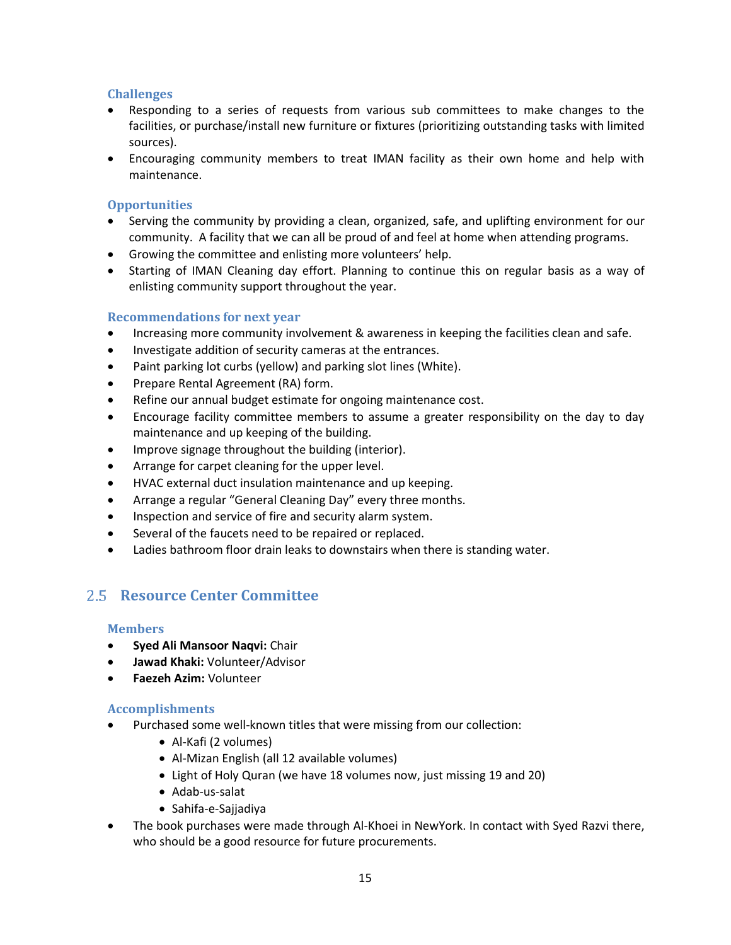- Responding to a series of requests from various sub committees to make changes to the facilities, or purchase/install new furniture or fixtures (prioritizing outstanding tasks with limited sources).
- Encouraging community members to treat IMAN facility as their own home and help with maintenance.

### **Opportunities**

- Serving the community by providing a clean, organized, safe, and uplifting environment for our community. A facility that we can all be proud of and feel at home when attending programs.
- Growing the committee and enlisting more volunteers' help.
- Starting of IMAN Cleaning day effort. Planning to continue this on regular basis as a way of enlisting community support throughout the year.

### **Recommendations for next year**

- Increasing more community involvement & awareness in keeping the facilities clean and safe.
- Investigate addition of security cameras at the entrances.
- Paint parking lot curbs (yellow) and parking slot lines (White).
- Prepare Rental Agreement (RA) form.
- Refine our annual budget estimate for ongoing maintenance cost.
- Encourage facility committee members to assume a greater responsibility on the day to day maintenance and up keeping of the building.
- Improve signage throughout the building (interior).
- Arrange for carpet cleaning for the upper level.
- HVAC external duct insulation maintenance and up keeping.
- Arrange a regular "General Cleaning Day" every three months.
- Inspection and service of fire and security alarm system.
- Several of the faucets need to be repaired or replaced.
- Ladies bathroom floor drain leaks to downstairs when there is standing water.

# <span id="page-14-0"></span>**Resource Center Committee**

### **Members**

- **Syed Ali Mansoor Naqvi:** Chair
- **Jawad Khaki:** Volunteer/Advisor
- **Faezeh Azim:** Volunteer

- Purchased some well-known titles that were missing from our collection:
	- Al-Kafi (2 volumes)
	- Al-Mizan English (all 12 available volumes)
	- Light of Holy Quran (we have 18 volumes now, just missing 19 and 20)
	- Adab-us-salat
	- Sahifa-e-Sajjadiya
- The book purchases were made through Al-Khoei in NewYork. In contact with Syed Razvi there, who should be a good resource for future procurements.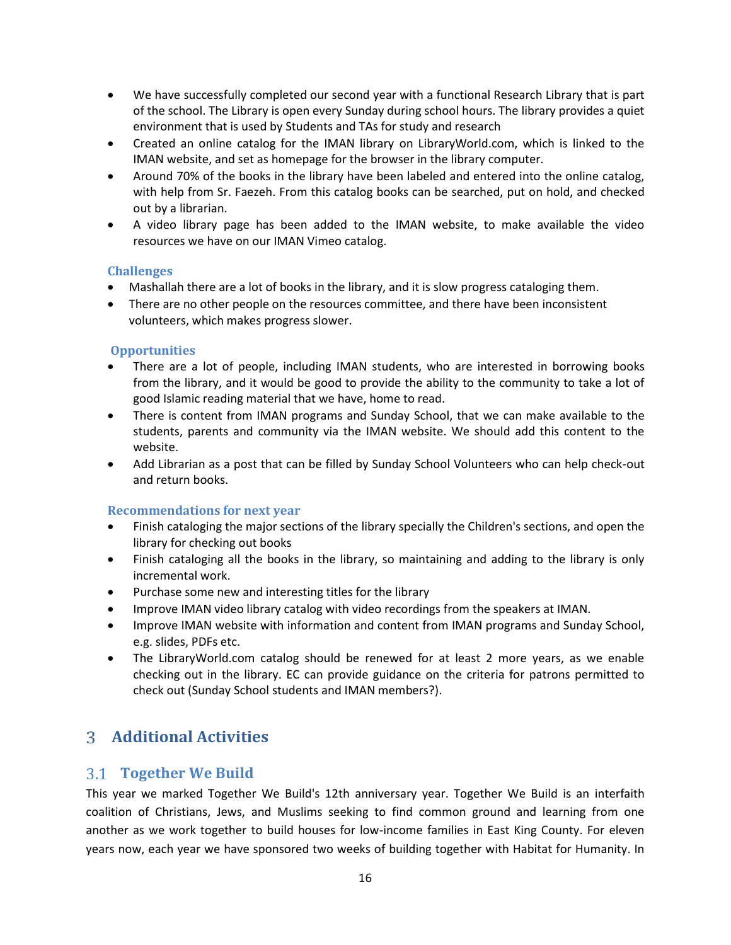- We have successfully completed our second year with a functional Research Library that is part of the school. The Library is open every Sunday during school hours. The library provides a quiet environment that is used by Students and TAs for study and research
- Created an online catalog for the IMAN library on LibraryWorld.com, which is linked to the IMAN website, and set as homepage for the browser in the library computer.
- Around 70% of the books in the library have been labeled and entered into the online catalog, with help from Sr. Faezeh. From this catalog books can be searched, put on hold, and checked out by a librarian.
- A video library page has been added to the IMAN website, to make available the video resources we have on our IMAN Vimeo catalog.

- Mashallah there are a lot of books in the library, and it is slow progress cataloging them.
- There are no other people on the resources committee, and there have been inconsistent volunteers, which makes progress slower.

### **Opportunities**

- There are a lot of people, including IMAN students, who are interested in borrowing books from the library, and it would be good to provide the ability to the community to take a lot of good Islamic reading material that we have, home to read.
- There is content from IMAN programs and Sunday School, that we can make available to the students, parents and community via the IMAN website. We should add this content to the website.
- Add Librarian as a post that can be filled by Sunday School Volunteers who can help check-out and return books.

### **Recommendations for next year**

- Finish cataloging the major sections of the library specially the Children's sections, and open the library for checking out books
- Finish cataloging all the books in the library, so maintaining and adding to the library is only incremental work.
- Purchase some new and interesting titles for the library
- Improve IMAN video library catalog with video recordings from the speakers at IMAN.
- Improve IMAN website with information and content from IMAN programs and Sunday School, e.g. slides, PDFs etc.
- The LibraryWorld.com catalog should be renewed for at least 2 more years, as we enable checking out in the library. EC can provide guidance on the criteria for patrons permitted to check out (Sunday School students and IMAN members?).

# <span id="page-15-0"></span>**Additional Activities**

### <span id="page-15-1"></span>**Together We Build**

This year we marked Together We Build's 12th anniversary year. Together We Build is an interfaith coalition of Christians, Jews, and Muslims seeking to find common ground and learning from one another as we work together to build houses for low-income families in East King County. For eleven years now, each year we have sponsored two weeks of building together with Habitat for Humanity. In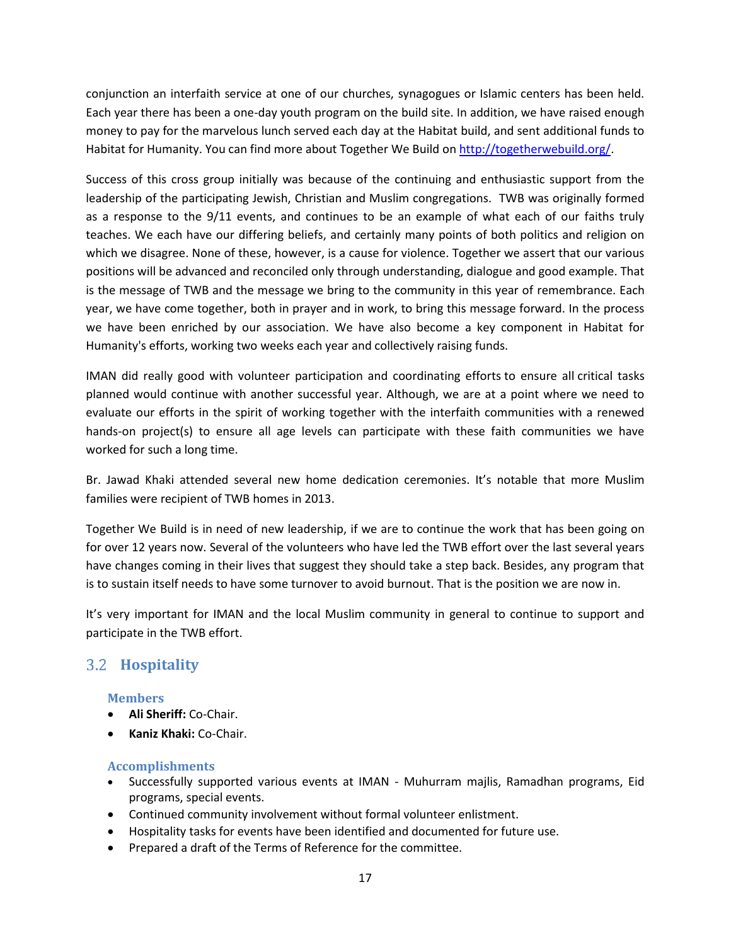conjunction an interfaith service at one of our churches, synagogues or Islamic centers has been held. Each year there has been a one-day youth program on the build site. In addition, we have raised enough money to pay for the marvelous lunch served each day at the Habitat build, and sent additional funds to Habitat for Humanity. You can find more about Together We Build o[n http://togetherwebuild.org/.](http://togetherwebuild.org/)

Success of this cross group initially was because of the continuing and enthusiastic support from the leadership of the participating Jewish, Christian and Muslim congregations. TWB was originally formed as a response to the 9/11 events, and continues to be an example of what each of our faiths truly teaches. We each have our differing beliefs, and certainly many points of both politics and religion on which we disagree. None of these, however, is a cause for violence. Together we assert that our various positions will be advanced and reconciled only through understanding, dialogue and good example. That is the message of TWB and the message we bring to the community in this year of remembrance. Each year, we have come together, both in prayer and in work, to bring this message forward. In the process we have been enriched by our association. We have also become a key component in Habitat for Humanity's efforts, working two weeks each year and collectively raising funds.

IMAN did really good with volunteer participation and coordinating efforts to ensure all critical tasks planned would continue with another successful year. Although, we are at a point where we need to evaluate our efforts in the spirit of working together with the interfaith communities with a renewed hands-on project(s) to ensure all age levels can participate with these faith communities we have worked for such a long time.

Br. Jawad Khaki attended several new home dedication ceremonies. It's notable that more Muslim families were recipient of TWB homes in 2013.

Together We Build is in need of new leadership, if we are to continue the work that has been going on for over 12 years now. Several of the volunteers who have led the TWB effort over the last several years have changes coming in their lives that suggest they should take a step back. Besides, any program that is to sustain itself needs to have some turnover to avoid burnout. That is the position we are now in.

It's very important for IMAN and the local Muslim community in general to continue to support and participate in the TWB effort.

# <span id="page-16-0"></span>**Hospitality**

### **Members**

- **Ali Sheriff:** Co-Chair.
- **Kaniz Khaki:** Co-Chair.

- Successfully supported various events at IMAN Muhurram majlis, Ramadhan programs, Eid programs, special events.
- Continued community involvement without formal volunteer enlistment.
- Hospitality tasks for events have been identified and documented for future use.
- Prepared a draft of the Terms of Reference for the committee.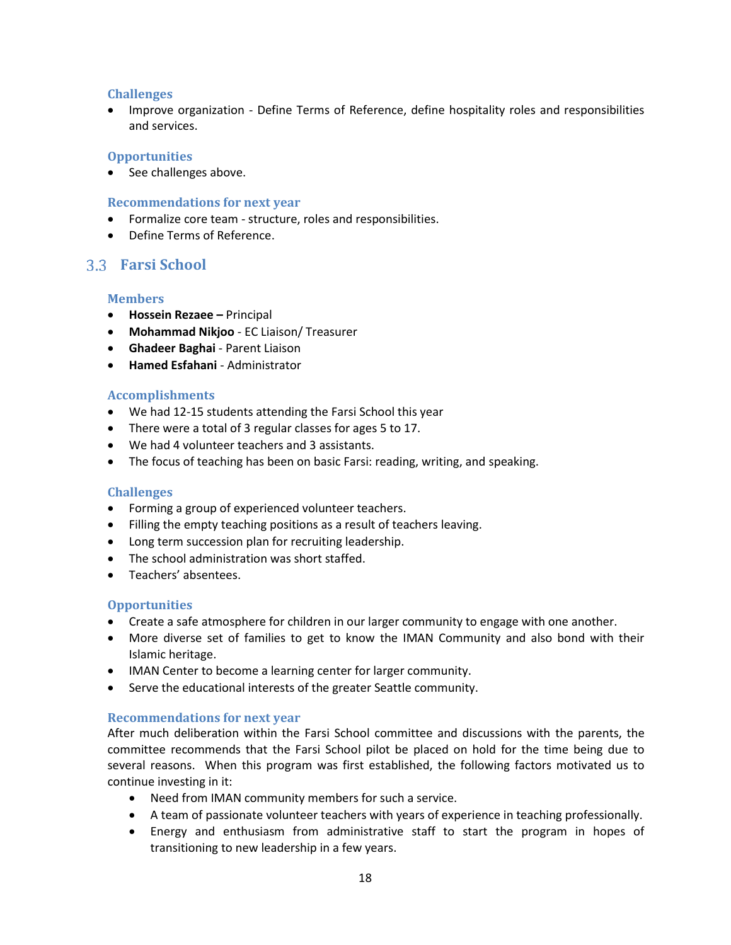Improve organization - Define Terms of Reference, define hospitality roles and responsibilities and services.

#### **Opportunities**

• See challenges above.

#### **Recommendations for next year**

- Formalize core team structure, roles and responsibilities.
- Define Terms of Reference.

### <span id="page-17-0"></span>**Farsi School**

#### **Members**

- **Hossein Rezaee –** Principal
- **Mohammad Nikjoo** EC Liaison/ Treasurer
- **Ghadeer Baghai** Parent Liaison
- **Hamed Esfahani** Administrator

### **Accomplishments**

- We had 12-15 students attending the Farsi School this year
- There were a total of 3 regular classes for ages 5 to 17.
- We had 4 volunteer teachers and 3 assistants.
- The focus of teaching has been on basic Farsi: reading, writing, and speaking.

### **Challenges**

- Forming a group of experienced volunteer teachers.
- Filling the empty teaching positions as a result of teachers leaving.
- Long term succession plan for recruiting leadership.
- The school administration was short staffed.
- Teachers' absentees.

### **Opportunities**

- Create a safe atmosphere for children in our larger community to engage with one another.
- More diverse set of families to get to know the IMAN Community and also bond with their Islamic heritage.
- IMAN Center to become a learning center for larger community.
- Serve the educational interests of the greater Seattle community.

### **Recommendations for next year**

After much deliberation within the Farsi School committee and discussions with the parents, the committee recommends that the Farsi School pilot be placed on hold for the time being due to several reasons. When this program was first established, the following factors motivated us to continue investing in it:

- Need from IMAN community members for such a service.
- A team of passionate volunteer teachers with years of experience in teaching professionally.
- Energy and enthusiasm from administrative staff to start the program in hopes of transitioning to new leadership in a few years.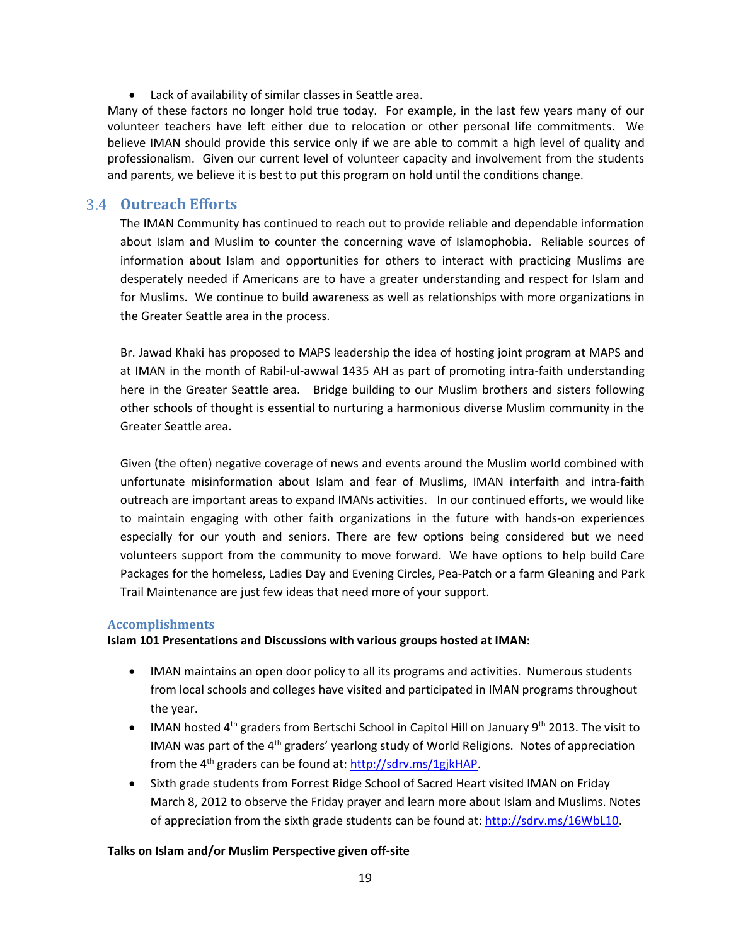Lack of availability of similar classes in Seattle area.

Many of these factors no longer hold true today. For example, in the last few years many of our volunteer teachers have left either due to relocation or other personal life commitments. We believe IMAN should provide this service only if we are able to commit a high level of quality and professionalism. Given our current level of volunteer capacity and involvement from the students and parents, we believe it is best to put this program on hold until the conditions change.

### <span id="page-18-0"></span>**Outreach Efforts**

The IMAN Community has continued to reach out to provide reliable and dependable information about Islam and Muslim to counter the concerning wave of Islamophobia. Reliable sources of information about Islam and opportunities for others to interact with practicing Muslims are desperately needed if Americans are to have a greater understanding and respect for Islam and for Muslims. We continue to build awareness as well as relationships with more organizations in the Greater Seattle area in the process.

Br. Jawad Khaki has proposed to MAPS leadership the idea of hosting joint program at MAPS and at IMAN in the month of Rabil-ul-awwal 1435 AH as part of promoting intra-faith understanding here in the Greater Seattle area. Bridge building to our Muslim brothers and sisters following other schools of thought is essential to nurturing a harmonious diverse Muslim community in the Greater Seattle area.

Given (the often) negative coverage of news and events around the Muslim world combined with unfortunate misinformation about Islam and fear of Muslims, IMAN interfaith and intra-faith outreach are important areas to expand IMANs activities. In our continued efforts, we would like to maintain engaging with other faith organizations in the future with hands-on experiences especially for our youth and seniors. There are few options being considered but we need volunteers support from the community to move forward. We have options to help build Care Packages for the homeless, Ladies Day and Evening Circles, Pea-Patch or a farm Gleaning and Park Trail Maintenance are just few ideas that need more of your support.

### **Accomplishments**

#### **Islam 101 Presentations and Discussions with various groups hosted at IMAN:**

- IMAN maintains an open door policy to all its programs and activities. Numerous students from local schools and colleges have visited and participated in IMAN programs throughout the year.
- IMAN hosted  $4^{th}$  graders from Bertschi School in Capitol Hill on January  $9^{th}$  2013. The visit to IMAN was part of the 4<sup>th</sup> graders' yearlong study of World Religions. Notes of appreciation from the  $4<sup>th</sup>$  graders can be found at: [http://sdrv.ms/1gjkHAP.](http://sdrv.ms/1gjkHAP)
- Sixth grade students from Forrest Ridge School of Sacred Heart visited IMAN on Friday March 8, 2012 to observe the Friday prayer and learn more about Islam and Muslims. Notes of appreciation from the sixth grade students can be found at: [http://sdrv.ms/16WbL10.](http://sdrv.ms/16WbL10)

### **Talks on Islam and/or Muslim Perspective given off-site**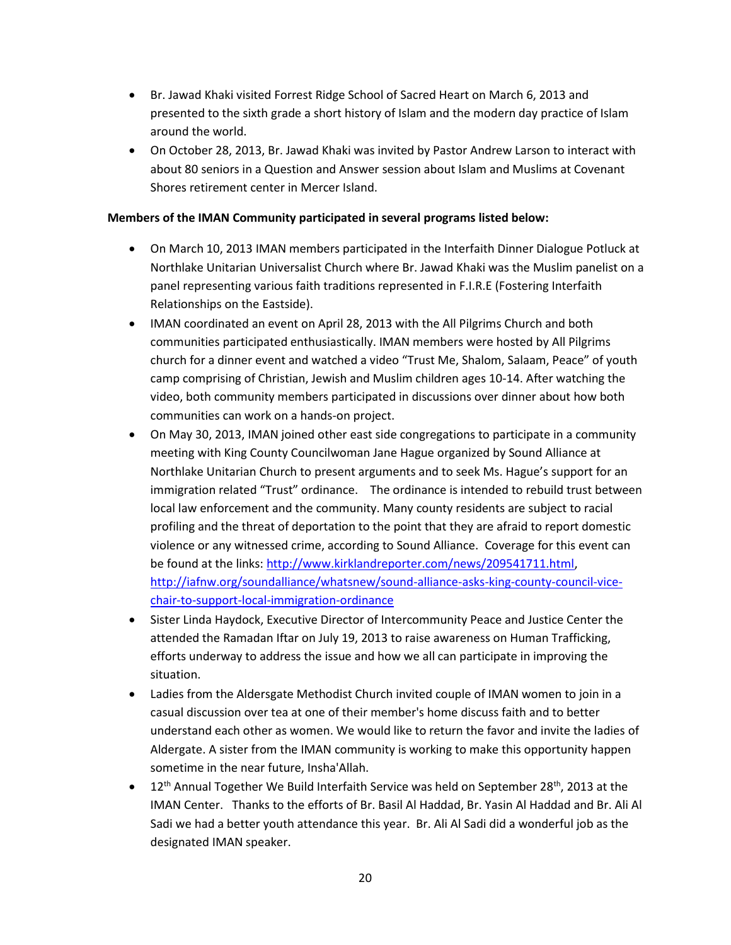- Br. Jawad Khaki visited Forrest Ridge School of Sacred Heart on March 6, 2013 and presented to the sixth grade a short history of Islam and the modern day practice of Islam around the world.
- On October 28, 2013, Br. Jawad Khaki was invited by Pastor Andrew Larson to interact with about 80 seniors in a Question and Answer session about Islam and Muslims at Covenant Shores retirement center in Mercer Island.

### **Members of the IMAN Community participated in several programs listed below:**

- On March 10, 2013 IMAN members participated in the Interfaith Dinner Dialogue Potluck at Northlake Unitarian Universalist Church where Br. Jawad Khaki was the Muslim panelist on a panel representing various faith traditions represented in F.I.R.E (Fostering Interfaith Relationships on the Eastside).
- IMAN coordinated an event on April 28, 2013 with the All Pilgrims Church and both communities participated enthusiastically. IMAN members were hosted by All Pilgrims church for a dinner event and watched a video "Trust Me, Shalom, Salaam, Peace" of youth camp comprising of Christian, Jewish and Muslim children ages 10-14. After watching the video, both community members participated in discussions over dinner about how both communities can work on a hands-on project.
- On May 30, 2013, IMAN joined other east side congregations to participate in a community meeting with King County Councilwoman Jane Hague organized by Sound Alliance at Northlake Unitarian Church to present arguments and to seek Ms. Hague's support for an immigration related "Trust" ordinance. The ordinance is intended to rebuild trust between local law enforcement and the community. Many county residents are subject to racial profiling and the threat of deportation to the point that they are afraid to report domestic violence or any witnessed crime, according to Sound Alliance. Coverage for this event can be found at the links: [http://www.kirklandreporter.com/news/209541711.html,](http://www.kirklandreporter.com/news/209541711.html) [http://iafnw.org/soundalliance/whatsnew/sound-alliance-asks-king-county-council-vice](http://iafnw.org/soundalliance/whatsnew/sound-alliance-asks-king-county-council-vice-chair-to-support-local-immigration-ordinance)[chair-to-support-local-immigration-ordinance](http://iafnw.org/soundalliance/whatsnew/sound-alliance-asks-king-county-council-vice-chair-to-support-local-immigration-ordinance)
- Sister Linda Haydock, Executive Director of Intercommunity Peace and Justice Center the attended the Ramadan Iftar on July 19, 2013 to raise awareness on Human Trafficking, efforts underway to address the issue and how we all can participate in improving the situation.
- Ladies from the Aldersgate Methodist Church invited couple of IMAN women to join in a casual discussion over tea at one of their member's home discuss faith and to better understand each other as women. We would like to return the favor and invite the ladies of Aldergate. A sister from the IMAN community is working to make this opportunity happen sometime in the near future, Insha'Allah.
- $\bullet$  12<sup>th</sup> Annual Together We Build Interfaith Service was held on September 28<sup>th</sup>, 2013 at the IMAN Center. Thanks to the efforts of Br. Basil Al Haddad, Br. Yasin Al Haddad and Br. Ali Al Sadi we had a better youth attendance this year. Br. Ali Al Sadi did a wonderful job as the designated IMAN speaker.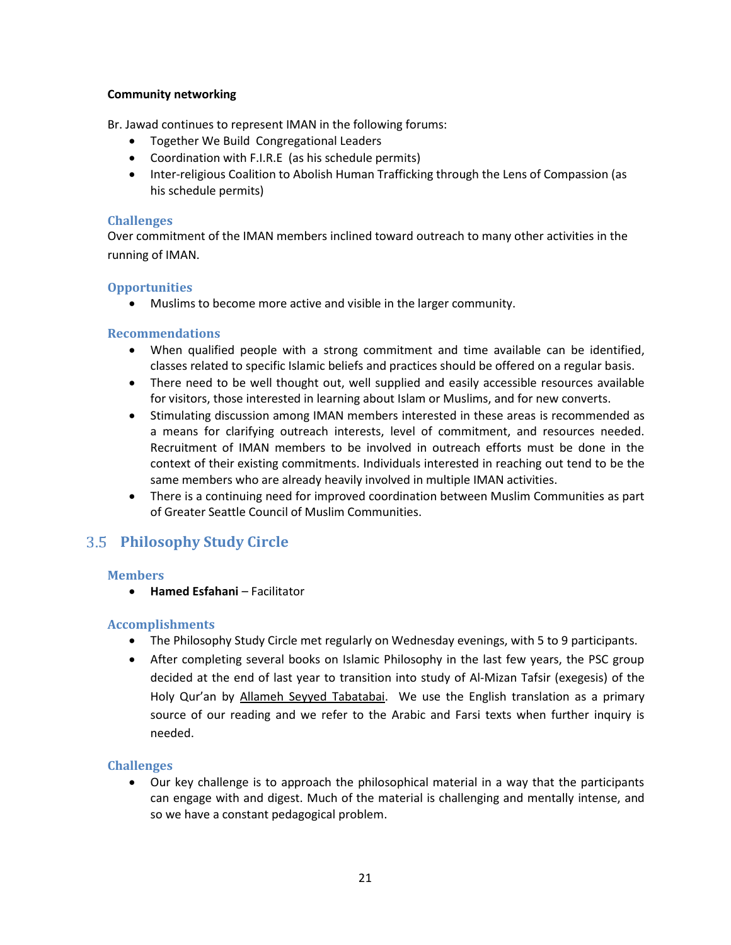### **Community networking**

Br. Jawad continues to represent IMAN in the following forums:

- Together We Build Congregational Leaders
- Coordination with F.I.R.E (as his schedule permits)
- Inter-religious Coalition to Abolish Human Trafficking through the Lens of Compassion (as his schedule permits)

### **Challenges**

Over commitment of the IMAN members inclined toward outreach to many other activities in the running of IMAN.

### **Opportunities**

Muslims to become more active and visible in the larger community.

### **Recommendations**

- When qualified people with a strong commitment and time available can be identified, classes related to specific Islamic beliefs and practices should be offered on a regular basis.
- There need to be well thought out, well supplied and easily accessible resources available for visitors, those interested in learning about Islam or Muslims, and for new converts.
- Stimulating discussion among IMAN members interested in these areas is recommended as a means for clarifying outreach interests, level of commitment, and resources needed. Recruitment of IMAN members to be involved in outreach efforts must be done in the context of their existing commitments. Individuals interested in reaching out tend to be the same members who are already heavily involved in multiple IMAN activities.
- There is a continuing need for improved coordination between Muslim Communities as part of Greater Seattle Council of Muslim Communities.

# <span id="page-20-0"></span>**Philosophy Study Circle**

### **Members**

**• Hamed Esfahani – Facilitator** 

### **Accomplishments**

- The Philosophy Study Circle met regularly on Wednesday evenings, with 5 to 9 participants.
- After completing several books on Islamic Philosophy in the last few years, the PSC group decided at the end of last year to transition into study of Al-Mizan Tafsir (exegesis) of the Holy Qur'an by Allameh Seyyed Tabatabai. We use the English translation as a primary source of our reading and we refer to the Arabic and Farsi texts when further inquiry is needed.

### **Challenges**

 Our key challenge is to approach the philosophical material in a way that the participants can engage with and digest. Much of the material is challenging and mentally intense, and so we have a constant pedagogical problem.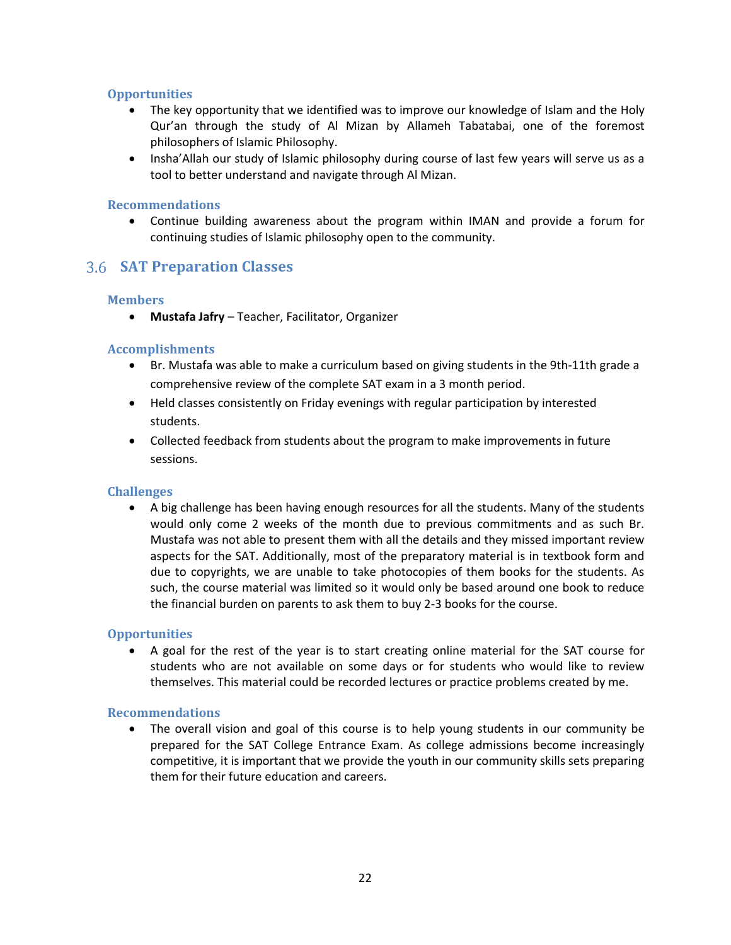### **Opportunities**

- The key opportunity that we identified was to improve our knowledge of Islam and the Holy Qur'an through the study of Al Mizan by Allameh Tabatabai, one of the foremost philosophers of Islamic Philosophy.
- Insha'Allah our study of Islamic philosophy during course of last few years will serve us as a tool to better understand and navigate through Al Mizan.

### **Recommendations**

 Continue building awareness about the program within IMAN and provide a forum for continuing studies of Islamic philosophy open to the community.

### <span id="page-21-0"></span>**SAT Preparation Classes**

### **Members**

**Mustafa Jafry** – Teacher, Facilitator, Organizer

### **Accomplishments**

- Br. Mustafa was able to make a curriculum based on giving students in the 9th-11th grade a comprehensive review of the complete SAT exam in a 3 month period.
- Held classes consistently on Friday evenings with regular participation by interested students.
- Collected feedback from students about the program to make improvements in future sessions.

### **Challenges**

 A big challenge has been having enough resources for all the students. Many of the students would only come 2 weeks of the month due to previous commitments and as such Br. Mustafa was not able to present them with all the details and they missed important review aspects for the SAT. Additionally, most of the preparatory material is in textbook form and due to copyrights, we are unable to take photocopies of them books for the students. As such, the course material was limited so it would only be based around one book to reduce the financial burden on parents to ask them to buy 2-3 books for the course.

### **Opportunities**

 A goal for the rest of the year is to start creating online material for the SAT course for students who are not available on some days or for students who would like to review themselves. This material could be recorded lectures or practice problems created by me.

### **Recommendations**

 The overall vision and goal of this course is to help young students in our community be prepared for the SAT College Entrance Exam. As college admissions become increasingly competitive, it is important that we provide the youth in our community skills sets preparing them for their future education and careers.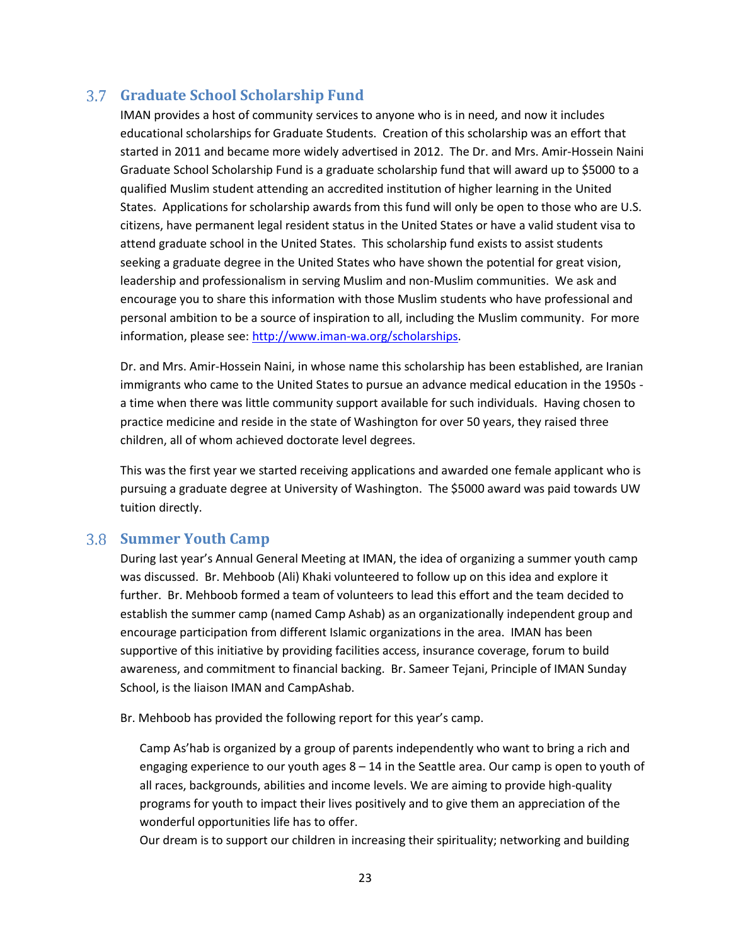### <span id="page-22-0"></span>**Graduate School Scholarship Fund**

IMAN provides a host of community services to anyone who is in need, and now it includes educational scholarships for Graduate Students. Creation of this scholarship was an effort that started in 2011 and became more widely advertised in 2012. The Dr. and Mrs. Amir-Hossein Naini Graduate School Scholarship Fund is a graduate scholarship fund that will award up to \$5000 to a qualified Muslim student attending an accredited institution of higher learning in the United States. Applications for scholarship awards from this fund will only be open to those who are U.S. citizens, have permanent legal resident status in the United States or have a valid student visa to attend graduate school in the United States. This scholarship fund exists to assist students seeking a graduate degree in the United States who have shown the potential for great vision, leadership and professionalism in serving Muslim and non-Muslim communities. We ask and encourage you to share this information with those Muslim students who have professional and personal ambition to be a source of inspiration to all, including the Muslim community. For more information, please see: [http://www.iman-wa.org/scholarships.](http://www.iman-wa.org/scholarships)

Dr. and Mrs. Amir-Hossein Naini, in whose name this scholarship has been established, are Iranian immigrants who came to the United States to pursue an advance medical education in the 1950s a time when there was little community support available for such individuals. Having chosen to practice medicine and reside in the state of Washington for over 50 years, they raised three children, all of whom achieved doctorate level degrees.

This was the first year we started receiving applications and awarded one female applicant who is pursuing a graduate degree at University of Washington. The \$5000 award was paid towards UW tuition directly.

### <span id="page-22-1"></span>**Summer Youth Camp**

During last year's Annual General Meeting at IMAN, the idea of organizing a summer youth camp was discussed. Br. Mehboob (Ali) Khaki volunteered to follow up on this idea and explore it further. Br. Mehboob formed a team of volunteers to lead this effort and the team decided to establish the summer camp (named Camp Ashab) as an organizationally independent group and encourage participation from different Islamic organizations in the area. IMAN has been supportive of this initiative by providing facilities access, insurance coverage, forum to build awareness, and commitment to financial backing. Br. Sameer Tejani, Principle of IMAN Sunday School, is the liaison IMAN and CampAshab.

Br. Mehboob has provided the following report for this year's camp.

Camp As'hab is organized by a group of parents independently who want to bring a rich and engaging experience to our youth ages 8 – 14 in the Seattle area. Our camp is open to youth of all races, backgrounds, abilities and income levels. We are aiming to provide high-quality programs for youth to impact their lives positively and to give them an appreciation of the wonderful opportunities life has to offer.

Our dream is to support our children in increasing their spirituality; networking and building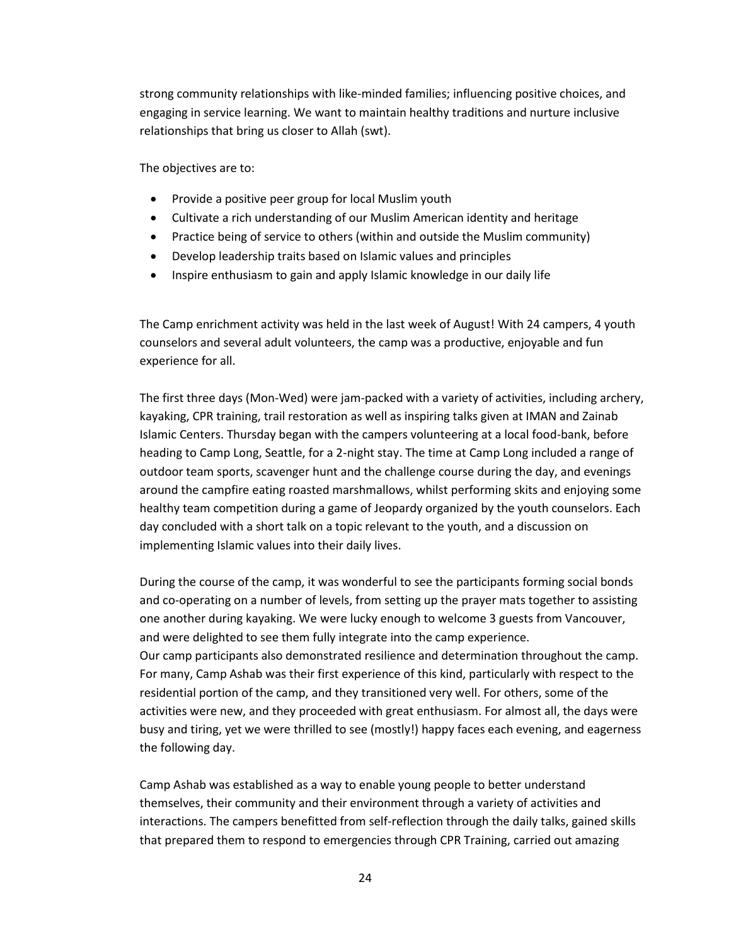strong community relationships with like-minded families; influencing positive choices, and engaging in service learning. We want to maintain healthy traditions and nurture inclusive relationships that bring us closer to Allah (swt).

The objectives are to:

- Provide a positive peer group for local Muslim youth
- Cultivate a rich understanding of our Muslim American identity and heritage
- Practice being of service to others (within and outside the Muslim community)
- Develop leadership traits based on Islamic values and principles
- Inspire enthusiasm to gain and apply Islamic knowledge in our daily life

The Camp enrichment activity was held in the last week of August! With 24 campers, 4 youth counselors and several adult volunteers, the camp was a productive, enjoyable and fun experience for all.

The first three days (Mon-Wed) were jam-packed with a variety of activities, including archery, kayaking, CPR training, trail restoration as well as inspiring talks given at IMAN and Zainab Islamic Centers. Thursday began with the campers volunteering at a local food-bank, before heading to Camp Long, Seattle, for a 2-night stay. The time at Camp Long included a range of outdoor team sports, scavenger hunt and the challenge course during the day, and evenings around the campfire eating roasted marshmallows, whilst performing skits and enjoying some healthy team competition during a game of Jeopardy organized by the youth counselors. Each day concluded with a short talk on a topic relevant to the youth, and a discussion on implementing Islamic values into their daily lives.

During the course of the camp, it was wonderful to see the participants forming social bonds and co-operating on a number of levels, from setting up the prayer mats together to assisting one another during kayaking. We were lucky enough to welcome 3 guests from Vancouver, and were delighted to see them fully integrate into the camp experience. Our camp participants also demonstrated resilience and determination throughout the camp. For many, Camp Ashab was their first experience of this kind, particularly with respect to the residential portion of the camp, and they transitioned very well. For others, some of the activities were new, and they proceeded with great enthusiasm. For almost all, the days were busy and tiring, yet we were thrilled to see (mostly!) happy faces each evening, and eagerness the following day.

Camp Ashab was established as a way to enable young people to better understand themselves, their community and their environment through a variety of activities and interactions. The campers benefitted from self-reflection through the daily talks, gained skills that prepared them to respond to emergencies through CPR Training, carried out amazing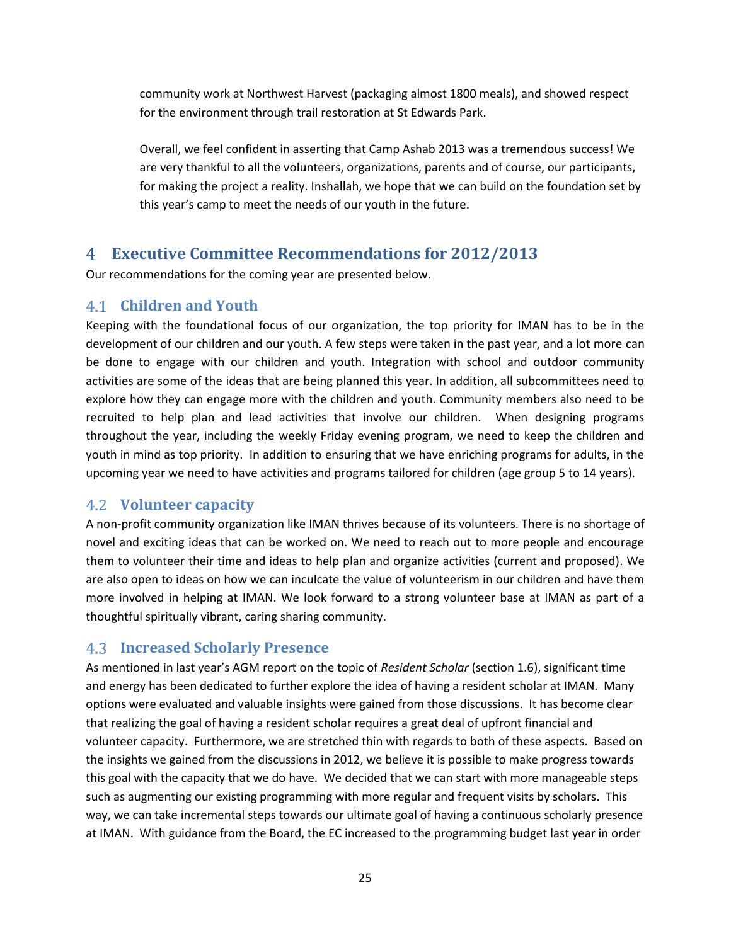community work at Northwest Harvest (packaging almost 1800 meals), and showed respect for the environment through trail restoration at St Edwards Park.

Overall, we feel confident in asserting that Camp Ashab 2013 was a tremendous success! We are very thankful to all the volunteers, organizations, parents and of course, our participants, for making the project a reality. Inshallah, we hope that we can build on the foundation set by this year's camp to meet the needs of our youth in the future.

### <span id="page-24-0"></span>**Executive Committee Recommendations for 2012/2013**

Our recommendations for the coming year are presented below.

### <span id="page-24-1"></span>**Children and Youth**

Keeping with the foundational focus of our organization, the top priority for IMAN has to be in the development of our children and our youth. A few steps were taken in the past year, and a lot more can be done to engage with our children and youth. Integration with school and outdoor community activities are some of the ideas that are being planned this year. In addition, all subcommittees need to explore how they can engage more with the children and youth. Community members also need to be recruited to help plan and lead activities that involve our children. When designing programs throughout the year, including the weekly Friday evening program, we need to keep the children and youth in mind as top priority. In addition to ensuring that we have enriching programs for adults, in the upcoming year we need to have activities and programs tailored for children (age group 5 to 14 years).

### <span id="page-24-2"></span>**Volunteer capacity**

A non-profit community organization like IMAN thrives because of its volunteers. There is no shortage of novel and exciting ideas that can be worked on. We need to reach out to more people and encourage them to volunteer their time and ideas to help plan and organize activities (current and proposed). We are also open to ideas on how we can inculcate the value of volunteerism in our children and have them more involved in helping at IMAN. We look forward to a strong volunteer base at IMAN as part of a thoughtful spiritually vibrant, caring sharing community.

### <span id="page-24-3"></span>**Increased Scholarly Presence**

As mentioned in last year's AGM report on the topic of *Resident Scholar* (section 1.6), significant time and energy has been dedicated to further explore the idea of having a resident scholar at IMAN. Many options were evaluated and valuable insights were gained from those discussions. It has become clear that realizing the goal of having a resident scholar requires a great deal of upfront financial and volunteer capacity. Furthermore, we are stretched thin with regards to both of these aspects. Based on the insights we gained from the discussions in 2012, we believe it is possible to make progress towards this goal with the capacity that we do have. We decided that we can start with more manageable steps such as augmenting our existing programming with more regular and frequent visits by scholars. This way, we can take incremental steps towards our ultimate goal of having a continuous scholarly presence at IMAN. With guidance from the Board, the EC increased to the programming budget last year in order